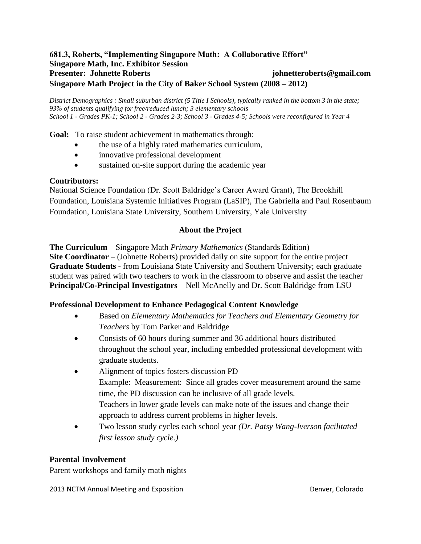### **681.3, Roberts, "Implementing Singapore Math: A Collaborative Effort" Singapore Math, Inc. Exhibitor Session Presenter: Johnette Roberts johnetteroberts@gmail.com**

### **Singapore Math Project in the City of Baker School System (2008 – 2012)**

*District Demographics : Small suburban district (5 Title I Schools), typically ranked in the bottom 3 in the state; 93% of students qualifying for free/reduced lunch; 3 elementary schools School 1 - Grades PK-1; School 2 - Grades 2-3; School 3 - Grades 4-5; Schools were reconfigured in Year 4*

**Goal:** To raise student achievement in mathematics through:

- the use of a highly rated mathematics curriculum,
- innovative professional development
- sustained on-site support during the academic year

### **Contributors:**

National Science Foundation (Dr. Scott Baldridge's Career Award Grant), The Brookhill Foundation, Louisiana Systemic Initiatives Program (LaSIP), The Gabriella and Paul Rosenbaum Foundation, Louisiana State University, Southern University, Yale University

### **About the Project**

**The Curriculum** – Singapore Math *Primary Mathematics* (Standards Edition) **Site Coordinator** – (Johnette Roberts) provided daily on site support for the entire project **Graduate Students -** from Louisiana State University and Southern University; each graduate student was paired with two teachers to work in the classroom to observe and assist the teacher **Principal/Co-Principal Investigators** – Nell McAnelly and Dr. Scott Baldridge from LSU

### **Professional Development to Enhance Pedagogical Content Knowledge**

- Based on *Elementary Mathematics for Teachers and Elementary Geometry for Teachers* by Tom Parker and Baldridge
- Consists of 60 hours during summer and 36 additional hours distributed throughout the school year, including embedded professional development with graduate students.
- Alignment of topics fosters discussion PD Example: Measurement: Since all grades cover measurement around the same time, the PD discussion can be inclusive of all grade levels. Teachers in lower grade levels can make note of the issues and change their approach to address current problems in higher levels.
- Two lesson study cycles each school year *(Dr. Patsy Wang-Iverson facilitated first lesson study cycle.)*

### **Parental Involvement**

Parent workshops and family math nights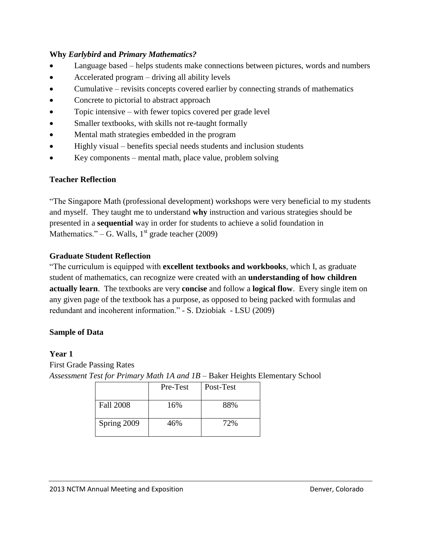## **Why** *Earlybird* **and** *Primary Mathematics?*

- Language based helps students make connections between pictures, words and numbers
- Accelerated program driving all ability levels
- Cumulative revisits concepts covered earlier by connecting strands of mathematics
- Concrete to pictorial to abstract approach
- Topic intensive with fewer topics covered per grade level
- Smaller textbooks, with skills not re-taught formally
- Mental math strategies embedded in the program
- Highly visual benefits special needs students and inclusion students
- Key components mental math, place value, problem solving

# **Teacher Reflection**

"The Singapore Math (professional development) workshops were very beneficial to my students and myself. They taught me to understand **why** instruction and various strategies should be presented in a **sequential** way in order for students to achieve a solid foundation in Mathematics." – G. Walls,  $1<sup>st</sup>$  grade teacher (2009)

# **Graduate Student Reflection**

"The curriculum is equipped with **excellent textbooks and workbooks**, which I, as graduate student of mathematics, can recognize were created with an **understanding of how children actually learn**. The textbooks are very **concise** and follow a **logical flow**. Every single item on any given page of the textbook has a purpose, as opposed to being packed with formulas and redundant and incoherent information." - S. Dziobiak - LSU (2009)

## **Sample of Data**

## **Year 1**

First Grade Passing Rates *Assessment Test for Primary Math 1A and 1B* – Baker Heights Elementary School

|             | Pre-Test | Post-Test |
|-------------|----------|-----------|
| Fall 2008   | 16%      | 88%       |
| Spring 2009 | 46%      | 72%       |